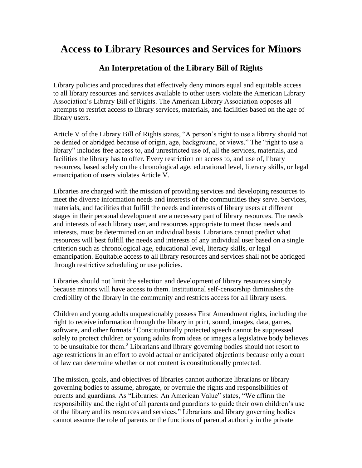## **Access to Library Resources and Services for Minors**

## **An Interpretation of the Library Bill of Rights**

Library policies and procedures that effectively deny minors equal and equitable access to all library resources and services available to other users violate the American Library Association's Library Bill of Rights. The American Library Association opposes all attempts to restrict access to library services, materials, and facilities based on the age of library users.

Article V of the Library Bill of Rights states, "A person's right to use a library should not be denied or abridged because of origin, age, background, or views." The "right to use a library" includes free access to, and unrestricted use of, all the services, materials, and facilities the library has to offer. Every restriction on access to, and use of, library resources, based solely on the chronological age, educational level, literacy skills, or legal emancipation of users violates Article V.

Libraries are charged with the mission of providing services and developing resources to meet the diverse information needs and interests of the communities they serve. Services, materials, and facilities that fulfill the needs and interests of library users at different stages in their personal development are a necessary part of library resources. The needs and interests of each library user, and resources appropriate to meet those needs and interests, must be determined on an individual basis. Librarians cannot predict what resources will best fulfill the needs and interests of any individual user based on a single criterion such as chronological age, educational level, literacy skills, or legal emancipation. Equitable access to all library resources and services shall not be abridged through restrictive scheduling or use policies.

Libraries should not limit the selection and development of library resources simply because minors will have access to them. Institutional self-censorship diminishes the credibility of the library in the community and restricts access for all library users.

Children and young adults unquestionably possess First Amendment rights, including the right to receive information through the library in print, sound, images, data, games, software, and other formats.<sup>1</sup> Constitutionally protected speech cannot be suppressed solely to protect children or young adults from ideas or images a legislative body believes to be unsuitable for them.<sup>2</sup> Librarians and library governing bodies should not resort to age restrictions in an effort to avoid actual or anticipated objections because only a court of law can determine whether or not content is constitutionally protected.

The mission, goals, and objectives of libraries cannot authorize librarians or library governing bodies to assume, abrogate, or overrule the rights and responsibilities of parents and guardians. As "Libraries: An American Value" states, "We affirm the responsibility and the right of all parents and guardians to guide their own children's use of the library and its resources and services." Librarians and library governing bodies cannot assume the role of parents or the functions of parental authority in the private